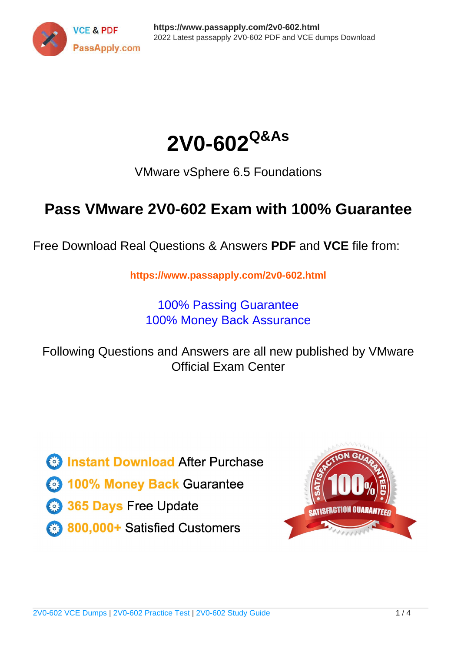



VMware vSphere 6.5 Foundations

# **Pass VMware 2V0-602 Exam with 100% Guarantee**

Free Download Real Questions & Answers **PDF** and **VCE** file from:

**https://www.passapply.com/2v0-602.html**

100% Passing Guarantee 100% Money Back Assurance

Following Questions and Answers are all new published by VMware Official Exam Center

**C** Instant Download After Purchase

**83 100% Money Back Guarantee** 

- 365 Days Free Update
- 800,000+ Satisfied Customers

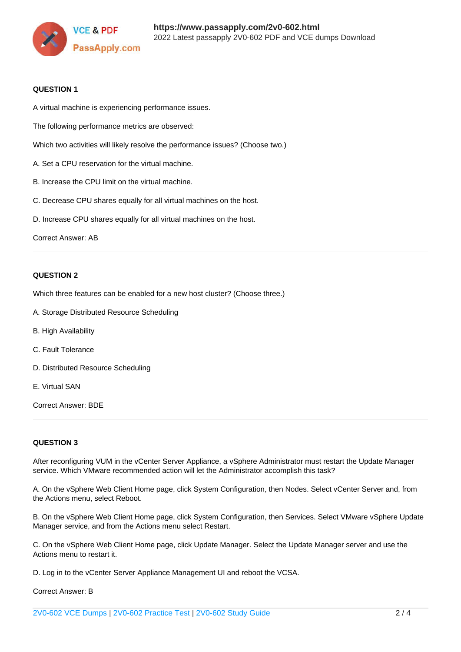

### **QUESTION 1**

A virtual machine is experiencing performance issues.

The following performance metrics are observed:

Which two activities will likely resolve the performance issues? (Choose two.)

- A. Set a CPU reservation for the virtual machine.
- B. Increase the CPU limit on the virtual machine.
- C. Decrease CPU shares equally for all virtual machines on the host.
- D. Increase CPU shares equally for all virtual machines on the host.

Correct Answer: AB

### **QUESTION 2**

Which three features can be enabled for a new host cluster? (Choose three.)

- A. Storage Distributed Resource Scheduling
- B. High Availability
- C. Fault Tolerance
- D. Distributed Resource Scheduling
- E. Virtual SAN

Correct Answer: BDE

### **QUESTION 3**

After reconfiguring VUM in the vCenter Server Appliance, a vSphere Administrator must restart the Update Manager service. Which VMware recommended action will let the Administrator accomplish this task?

A. On the vSphere Web Client Home page, click System Configuration, then Nodes. Select vCenter Server and, from the Actions menu, select Reboot.

B. On the vSphere Web Client Home page, click System Configuration, then Services. Select VMware vSphere Update Manager service, and from the Actions menu select Restart.

C. On the vSphere Web Client Home page, click Update Manager. Select the Update Manager server and use the Actions menu to restart it.

D. Log in to the vCenter Server Appliance Management UI and reboot the VCSA.

Correct Answer: B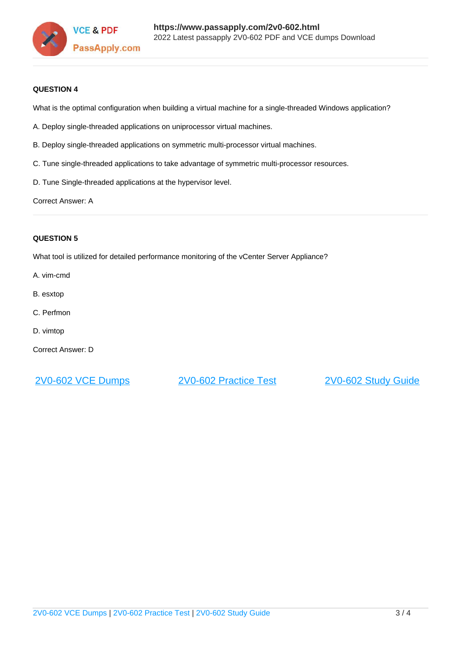

### **QUESTION 4**

What is the optimal configuration when building a virtual machine for a single-threaded Windows application?

- A. Deploy single-threaded applications on uniprocessor virtual machines.
- B. Deploy single-threaded applications on symmetric multi-processor virtual machines.
- C. Tune single-threaded applications to take advantage of symmetric multi-processor resources.
- D. Tune Single-threaded applications at the hypervisor level.

Correct Answer: A

### **QUESTION 5**

What tool is utilized for detailed performance monitoring of the vCenter Server Appliance?

- A. vim-cmd
- B. esxtop
- C. Perfmon
- D. vimtop
- Correct Answer: D

[2V0-602 VCE Dumps](https://www.passapply.com/2v0-602.html) [2V0-602 Practice Test](https://www.passapply.com/2v0-602.html) [2V0-602 Study Guide](https://www.passapply.com/2v0-602.html)